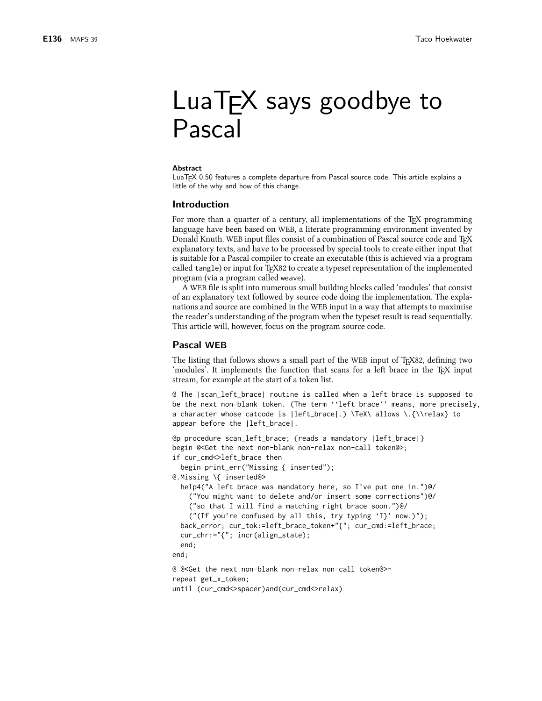# LuaT<sub>F</sub>X says goodbye to Pascal

#### **Abstract**

LuaT<sub>F</sub>X 0.50 features a complete departure from Pascal source code. This article explains a little of the why and how of this change.

### **Introduction**

For more than a quarter of a century, all implementations of the T<sub>F</sub>X programming language have been based on WEB, a literate programming environment invented by Donald Knuth. WEB input files consist of a combination of Pascal source code and T<sub>F</sub>X explanatory texts, and have to be processed by special tools to create either input that is suitable for a Pascal compiler to create an executable (this is achieved via a program called tangle) or input for T<sub>F</sub>X82 to create a typeset representation of the implemented program (via a program called weave).

A WEB file is split into numerous small building blocks called 'modules' that consist of an explanatory text followed by source code doing the implementation. The explanations and source are combined in the WEB input in a way that attempts to maximise the reader's understanding of the program when the typeset result is read sequentially. This article will, however, focus on the program source code.

## **Pascal WEB**

The listing that follows shows a small part of the WEB input of TEX82, defining two 'modules'. It implements the function that scans for a left brace in the T<sub>E</sub>X input stream, for example at the start of a token list.

@ The |scan\_left\_brace| routine is called when a left brace is supposed to be the next non-blank token. (The term ''left brace'' means, more precisely, a character whose catcode is |left\_brace|.) \TeX\ allows \.{\\relax} to appear before the |left\_brace|.

```
@p procedure scan_left_brace; {reads a mandatory |left_brace|}
begin @<Get the next non-blank non-relax non-call token@>;
if cur_cmd<>left_brace then
  begin print_err("Missing { inserted");
@.Missing \{ inserted@>
  help4("A left brace was mandatory here, so I've put one in.")@/
    ("You might want to delete and/or insert some corrections")@/
    ("so that I will find a matching right brace soon.")@/
    ("(If you're confused by all this, try typing 'I}' now.)");
  back_error;            cur_tok:=left_brace_token+"{";              cur_cmd:=left_brace;
  cur_chr:="{"; incr(align_state);
  end:end:
@ @<Get the next non-blank non-relax non-call token@>=
repeat get_x_token;
```
until (cur\_cmd<>spacer)and(cur\_cmd<>relax)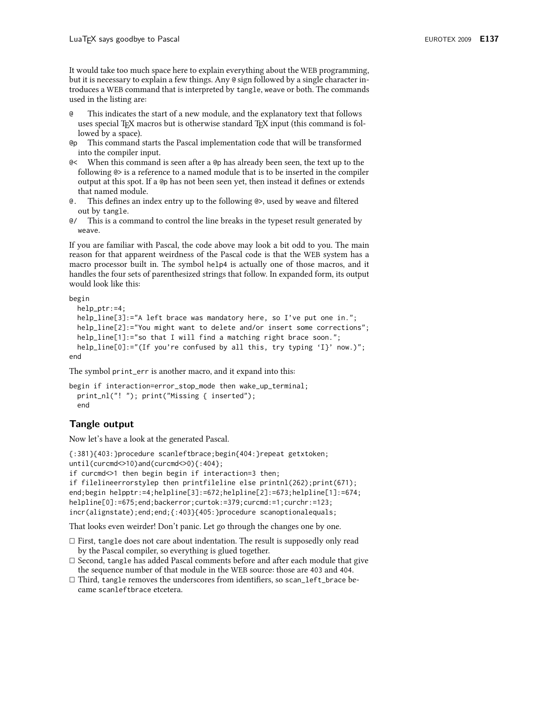It would take too much space here to explain everything about the WEB programming, but it is necessary to explain a few things. Any @ sign followed by a single character introduces a WEB command that is interpreted by tangle, weave or both. The commands used in the listing are:

- This indicates the start of a new module, and the explanatory text that follows <sub>@</sub> uses special TFX macros but is otherwise standard TFX input (this command is followed by a space).
- This command starts the Pascal implementation code that will be transformed @p into the compiler input.
- @< When this command is seen after a @p has already been seen, the text up to the following  $\φ$  is a reference to a named module that is to be inserted in the compiler output at this spot. If a @ has not been seen yet, then instead it defines or extends that named module.
- $\alpha$ This defines an index entry up to the following  $\φ$ , used by weave and filtered out by tangle.
- $\alpha$ This is a command to control the line breaks in the typeset result generated by weave.

If you are familiar with Pascal, the code above may look a bit odd to you. The main reason for that apparent weirdness of the Pascal code is that the WEB system has a macro processor built in. The symbol help4 is actually one of those macros, and it handles the four sets of parenthesized strings that follow. In expanded form, its output would look like this:

begin

```
help_ptr:=4;help_line[3]:="A left brace was mandatory here, so I've put one in.";
 help_line[2]:="You might want to delete and/or insert some corrections";
 help_line[1]:="so that I will find a matching right brace soon.";
 help_line[0]:="(If you're confused by all this, try typing 'I}' now.)";
end
```
The symbol print\_err is another macro, and it expand into this:

```
begin if interaction=error_stop_mode then wake_up_terminal;
  print_nl("! ");    print("Missing { inserted");
  end
```
# Tangle output

Now let's have a look at the generated Pascal.

```
{:381}{403:}procedure scanleftbrace;begin{404:}repeat getxtoken;
until(curcmd<>>10) and(curcmd\leq0){:404};
if curcmd<>1 then begin begin if interaction=3 then;
if filelineerrorstylep then printfileline else printnl(262); print(671);
end; begin helpptr:=4; helpline[3]:=672; helpline[2]:=673; helpline[1]:=674;
helpline[0]:=675;end;backerror;curtok:=379;curcmd:=1;curchr:=123;
incr(alignstate);end;end;{:403}{405:}procedure scanoptionalequals;
```
That looks even weirder! Don't panic. Let go through the changes one by one.

- $\Box$  First, tangle does not care about indentation. The result is supposedly only read by the Pascal compiler, so everything is glued together.
- $\Box$  Second, tangle has added Pascal comments before and after each module that give the sequence number of that module in the WEB source: those are 403 and 404.
- □ Third, tangle removes the underscores from identifiers, so scan\_left\_brace became scanleftbrace etcetera.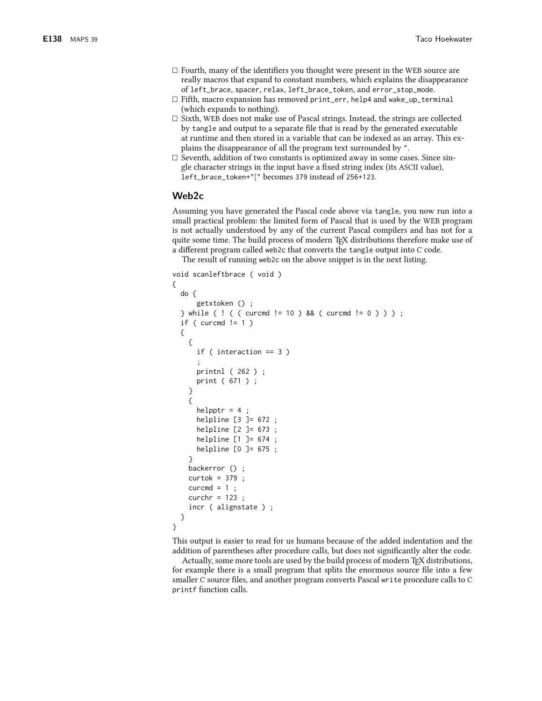- $\Box$  Fourth, many of the identifiers you thought were present in the WEB source are really macros that expand to constant numbers, which explains the disappearance of left\_brace, spacer, relax, left\_brace\_token, and error\_stop\_mode.
- $\Box$  Fifth, macro expansion has removed print\_err, help4 and wake\_up\_terminal (which expands to nothing).
- $\Box$  Sixth, WEB does not make use of Pascal strings. Instead, the strings are collected by tangle and output to a separate file that is read by the generated executable at runtime and then stored in a variable that can be indexed as an array. This explains the disappearance of all the program text surrounded by ".
- $\Box$  Seventh, addition of two constants is optimized away in some cases. Since single character strings in the input have a fixed string index (its ASCII value), left\_brace\_token+"{" becomes 379 instead of 256+123.

# Web2c

Assuming you have generated the Pascal code above via tangle, you now run into a small practical problem: the limited form of Pascal that is used by the WEB program is not actually understood by any of the current Pascal compilers and has not for a quite some time. The build process of modern TFX distributions therefore make use of a different program called web2c that converts the tangle output into C code.

The result of running web2c on the above snippet is in the next listing.

```
void scanleftbrace (void)
€
  do \{getxtoken () ;
  } while ( ! ( ( curcmd != 10 ) && ( curcmd != 0 ) ) ) ;
  if ( curcmd != 1 )
  €
    \{if ( interaction == 3 )
      printnl (262);
      print ( 671 ) ;
    \mathcal{E}\{helpptr = 4;
      helpline \begin{bmatrix} 3 \end{bmatrix} = 672;
      helpline [2] = 673;helpline [1] = 674;helpline [0] = 675;₹
    backerror ();
    curtok = 379;
    curcmd = 1;
    curchr = 123;
    incr (alignstate);
  }
\mathcal{E}
```
This output is easier to read for us humans because of the added indentation and the addition of parentheses after procedure calls, but does not significantly alter the code.

Actually, some more tools are used by the build process of modern T<sub>F</sub>X distributions, for example there is a small program that splits the enormous source file into a few smaller C source files, and another program converts Pascal write procedure calls to C printf function calls.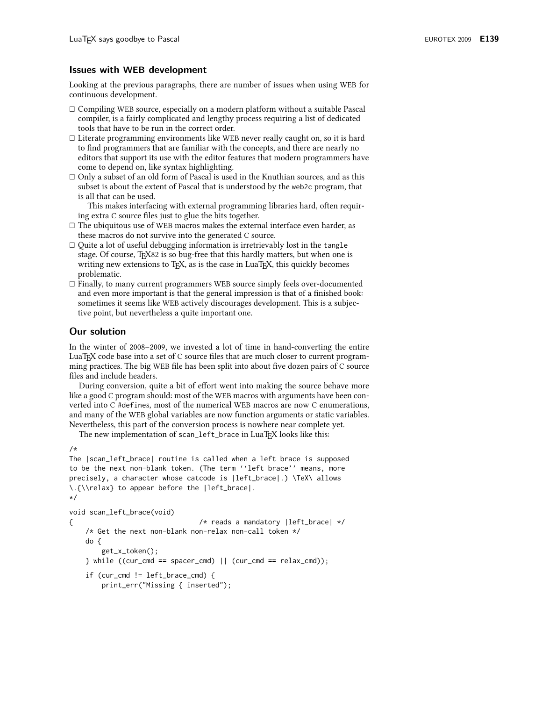## **Issues with WEB development**

Looking at the previous paragraphs, there are number of issues when using WEB for continuous development.

- $\Box$  Compiling WEB source, especially on a modern platform without a suitable Pascal compiler, is a fairly complicated and lengthy process requiring a list of dedicated tools that have to be run in the correct order.
- $\Box$  Literate programming environments like WEB never really caught on, so it is hard to find programmers that are familiar with the concepts, and there are nearly no editors that support its use with the editor features that modern programmers have come to depend on, like syntax highlighting.
- $\Box$  Only a subset of an old form of Pascal is used in the Knuthian sources, and as this subset is about the extent of Pascal that is understood by the web2c program, that is all that can be used.

This makes interfacing with external programming libraries hard, often requiring extra C source files just to glue the bits together.

- $\Box$  <br> The ubiquitous use of WEB macros makes the external interface even harder, as these macros do not survive into the generated C source.
- $\Box$  Quite a lot of useful debugging information is irretrievably lost in the tangle stage. Of course, T<sub>F</sub>X82 is so bug-free that this hardly matters, but when one is writing new extensions to TFX, as is the case in LuaTFX, this quickly becomes problematic.
- $\Box$  Finally, to many current programmers WEB source simply feels over-documented and even more important is that the general impression is that of a finished book: sometimes it seems like WEB actively discourages development. This is a subjective point, but nevertheless a quite important one.

# **Our solution**

In the winter of 2008–2009, we invested a lot of time in hand-converting the entire LuaT<sub>F</sub>X code base into a set of C source files that are much closer to current programming practices. The big WEB file has been split into about five dozen pairs of C source files and include headers.

During conversion, quite a bit of effort went into making the source behave more like a good C program should: most of the WEB macros with arguments have been converted into C #defines, most of the numerical WEB macros are now C enumerations, and many of the WEB global variables are now function arguments or static variables. Nevertheless, this part of the conversion process is nowhere near complete yet.

The new implementation of scan\_left\_brace in LuaTFX looks like this:

```
/*
```

```
The |scan_left_brace| routine is called when a left brace is supposed
to be the next non-blank token. (The term "left brace" means, more
precisely, a character whose catcode is |left_brace|.) \TeX\ allows
\.{\\relax} to appear before the |left_brace|.
\star/
```

```
void scan_left_brace(void)
                                  /* reads a mandatory |left_brace| */
\left\{ \right./* Get the next non-blank non-relax non-call token */
    do \{get_x_token();
    } while ((cur\_cmd == spacer\_cmd) || (cur\_cmd == relax\_cmd));if (cur_cmd != left\_brace\_cmd) {
        print_err("Missing { inserted");
```